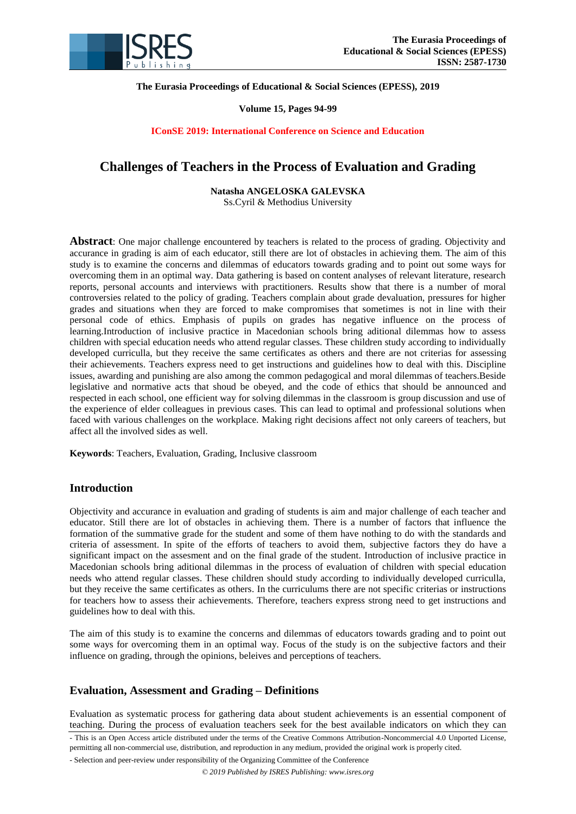

**The Eurasia Proceedings of Educational & Social Sciences (EPESS), 2019**

#### **Volume 15, Pages 94-99**

**IConSE 2019: International Conference on Science and Education**

# **Challenges of Teachers in the Process of Evaluation and Grading**

**Natasha ANGELOSKA GALEVSKA**

Ss.Cyril & Methodius University

**Abstract**: One major challenge encountered by teachers is related to the process of grading. Objectivity and accurance in grading is aim of each educator, still there are lot of obstacles in achieving them. The aim of this study is to examine the concerns and dilemmas of educators towards grading and to point out some ways for overcoming them in an optimal way. Data gathering is based on content analyses of relevant literature, research reports, personal accounts and interviews with practitioners. Results show that there is a number of moral controversies related to the policy of grading. Teachers complain about grade devaluation, pressures for higher grades and situations when they are forced to make compromises that sometimes is not in line with their personal code of ethics. Emphasis of pupils on grades has negative influence on the process of learning.Introduction of inclusive practice in Macedonian schools bring aditional dilemmas how to assess children with special education needs who attend regular classes. These children study according to individually developed curriculla, but they receive the same certificates as others and there are not criterias for assessing their achievements. Teachers express need to get instructions and guidelines how to deal with this. Discipline issues, awarding and punishing are also among the common pedagogical and moral dilemmas of teachers.Beside legislative and normative acts that shoud be obeyed, and the code of ethics that should be announced and respected in each school, one efficient way for solving dilemmas in the classroom is group discussion and use of the experience of elder colleagues in previous cases. This can lead to optimal and professional solutions when faced with various challenges on the workplace. Making right decisions affect not only careers of teachers, but affect all the involved sides as well.

**Keywords**: Teachers, Evaluation, Grading, Inclusive classroom

# **Introduction**

Objectivity and accurance in evaluation and grading of students is aim and major challenge of each teacher and educator. Still there are lot of obstacles in achieving them. There is a number of factors that influence the formation of the summative grade for the student and some of them have nothing to do with the standards and criteria of assessment. In spite of the efforts of teachers to avoid them, subjective factors they do have a significant impact on the assesment and on the final grade of the student. Introduction of inclusive practice in Macedonian schools bring aditional dilemmas in the process of evaluation of children with special education needs who attend regular classes. These children should study according to individually developed curriculla, but they receive the same certificates as others. In the curriculums there are not specific criterias or instructions for teachers how to assess their achievements. Therefore, teachers express strong need to get instructions and guidelines how to deal with this.

The aim of this study is to examine the concerns and dilemmas of educators towards grading and to point out some ways for overcoming them in an optimal way. Focus of the study is on the subjective factors and their influence on grading, through the opinions, beleives and perceptions of teachers.

# **Evaluation, Assessment and Grading – Definitions**

Evaluation as systematic process for gathering data about student achievements is an essential component of teaching. During the process of evaluation teachers seek for the best available indicators on which they can

- This is an Open Access article distributed under the terms of the Creative Commons Attribution-Noncommercial 4.0 Unported License, permitting all non-commercial use, distribution, and reproduction in any medium, provided the original work is properly cited.

- Selection and peer-review under responsibility of the Organizing Committee of the Conference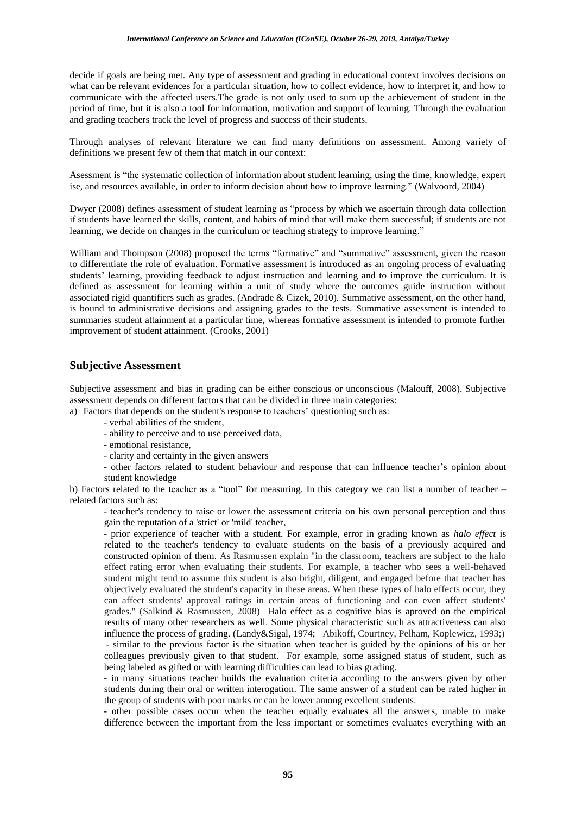decide if goals are being met. Any type of assessment and grading in educational context involves decisions on what can be relevant evidences for a particular situation, how to collect evidence, how to interpret it, and how to communicate with the affected users.The grade is not only used to sum up the achievement of student in the period of time, but it is also a tool for information, motivation and support of learning. Through the evaluation and grading teachers track the level of progress and success of their students.

Through analyses of relevant literature we can find many definitions on assessment. Among variety of definitions we present few of them that match in our context:

Asessment is "the systematic collection of information about student learning, using the time, knowledge, expert ise, and resources available, in order to inform decision about how to improve learning." (Walvoord, 2004)

Dwyer (2008) defines assessment of student learning as "process by which we ascertain through data collection if students have learned the skills, content, and habits of mind that will make them successful; if students are not learning, we decide on changes in the curriculum or teaching strategy to improve learning."

William and Thompson (2008) proposed the terms "formative" and "summative" assessment, given the reason to differentiate the role of evaluation. Formative assessment is introduced as an ongoing process of evaluating students" learning, providing feedback to adjust instruction and learning and to improve the curriculum. It is defined as assessment for learning within a unit of study where the outcomes guide instruction without associated rigid quantifiers such as grades. (Andrade & Cizek, 2010). Summative assessment, on the other hand, is bound to administrative decisions and assigning grades to the tests. Summative assessment is intended to summaries student attainment at a particular time, whereas formative assessment is intended to promote further improvement of student attainment. (Crooks, 2001)

### **Subjective Assessment**

Subjective assessment and bias in grading can be either conscious or unconscious (Malouff, 2008). Subjective assessment depends on different factors that can be divided in three main categories:

a) Factors that depends on the student's response to teachers' questioning such as:

- verbal abilities of the student,
- ability to perceive and to use perceived data,
- emotional resistance,
- clarity and certainty in the given answers
- other factors related to student behaviour and response that can influence teacher"s opinion about student knowledge

b) Factors related to the teacher as a "tool" for measuring. In this category we can list a number of teacher – related factors such as:

- teacher's tendency to raise or lower the assessment criteria on his own personal perception and thus gain the reputation of a 'strict' or 'mild' teacher,

- prior experience of teacher with a student. For example, error in grading known as *halo effect* is related to the teacher's tendency to evaluate students on the basis of a previously acquired and constructed opinion of them. As Rasmussen explain "in the classroom, teachers are subject to the halo effect rating error when evaluating their students. For example, a teacher who sees a well-behaved student might tend to assume this student is also bright, diligent, and engaged before that teacher has objectively evaluated the student's capacity in these areas. When these types of halo effects occur, they can affect students' approval ratings in certain areas of functioning and can even affect students' grades." (Salkind & Rasmussen, 2008) Halo effect as a cognitive bias is aproved on the empirical results of many other researchers as well. Some physical characteristic such as attractiveness can also influence the process of grading. (Landy&Sigal, 1974; Abikoff, Courtney, Pelham, Koplewicz, 1993;) - similar to the previous factor is the situation when teacher is guided by the opinions of his or her colleagues previously given to that student. For example, some assigned status of student, such as being labeled as gifted or with learning difficulties can lead to bias grading.

- in many situations teacher builds the evaluation criteria according to the answers given by other students during their oral or written interogation. The same answer of a student can be rated higher in the group of students with poor marks or can be lower among excellent students.

- other possible cases occur when the teacher equally evaluates all the answers, unable to make difference between the important from the less important or sometimes evaluates everything with an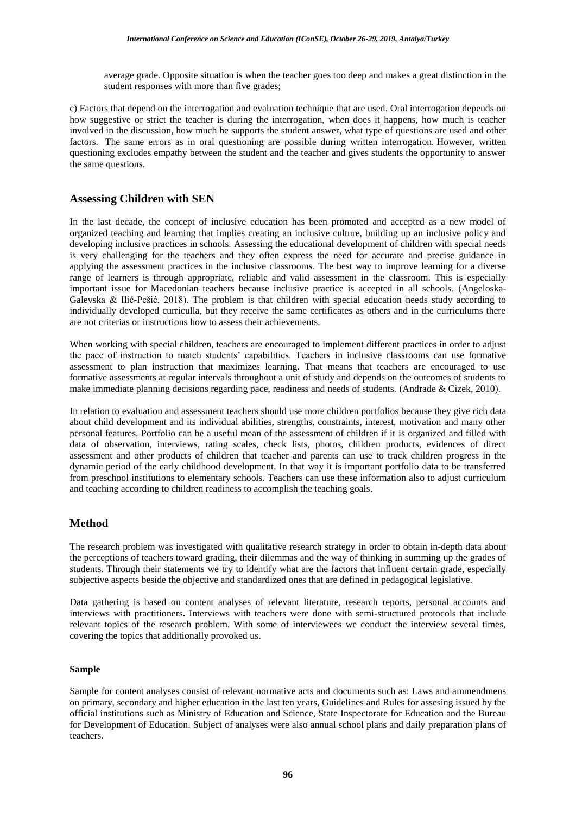average grade. Opposite situation is when the teacher goes too deep and makes a great distinction in the student responses with more than five grades;

c) Factors that depend on the interrogation and evaluation technique that are used. Oral interrogation depends on how suggestive or strict the teacher is during the interrogation, when does it happens, how much is teacher involved in the discussion, how much he supports the student answer, what type of questions are used and other factors. The same errors as in oral questioning are possible during written interrogation. However, written questioning excludes empathy between the student and the teacher and gives students the opportunity to answer the same questions.

### **Assessing Children with SEN**

In the last decade, the concept of inclusive education has been promoted and accepted as a new model of organized teaching and learning that implies creating an inclusive culture, building up an inclusive policy and developing inclusive practices in schools. Assessing the educational development of children with special needs is very challenging for the teachers and they often express the need for accurate and precise guidance in applying the assessment practices in the inclusive classrooms. The best way to improve learning for a diverse range of learners is through appropriate, reliable and valid assessment in the classroom. This is especially important issue for Macedonian teachers because inclusive practice is accepted in all schools. (Angeloska-Galevska & Ilić-Pešić, 2018). The problem is that children with special education needs study according to individually developed curriculla, but they receive the same certificates as others and in the curriculums there are not criterias or instructions how to assess their achievements.

When working with special children, teachers are encouraged to implement different practices in order to adjust the pace of instruction to match students" capabilities. Teachers in inclusive classrooms can use formative assessment to plan instruction that maximizes learning. That means that teachers are encouraged to use formative assessments at regular intervals throughout a unit of study and depends on the outcomes of students to make immediate planning decisions regarding pace, readiness and needs of students. (Andrade & Cizek, 2010).

In relation to evaluation and assessment teachers should use more children portfolios because they give rich data about child development and its individual abilities, strengths, constraints, interest, motivation and many other personal features. Portfolio can be a useful mean of the assessment of children if it is organized and filled with data of observation, interviews, rating scales, check lists, photos, children products, evidences of direct assessment and other products of children that teacher and parents can use to track children progress in the dynamic period of the early childhood development. In that way it is important portfolio data to be transferred from preschool institutions to elementary schools. Teachers can use these information also to adjust curriculum and teaching according to children readiness to accomplish the teaching goals.

# **Method**

The research problem was investigated with qualitative research strategy in order to obtain in-depth data about the perceptions of teachers toward grading, their dilemmas and the way of thinking in summing up the grades of students. Through their statements we try to identify what are the factors that influent certain grade, especially subjective aspects beside the objective and standardized ones that are defined in pedagogical legislative.

Data gathering is based on content analyses of relevant literature, research reports, personal accounts and interviews with practitioners**.** Interviews with teachers were done with semi-structured protocols that include relevant topics of the research problem. With some of interviewees we conduct the interview several times, covering the topics that additionally provoked us.

#### **Sample**

Sample for content analyses consist of relevant normative acts and documents such as: Laws and ammendmens on primary, secondary and higher education in the last ten years, Guidelines and Rules for assesing issued by the official institutions such as Ministry of Education and Science, State Inspectorate for Education and the Bureau for Development of Education. Subject of analyses were also annual school plans and daily preparation plans of teachers.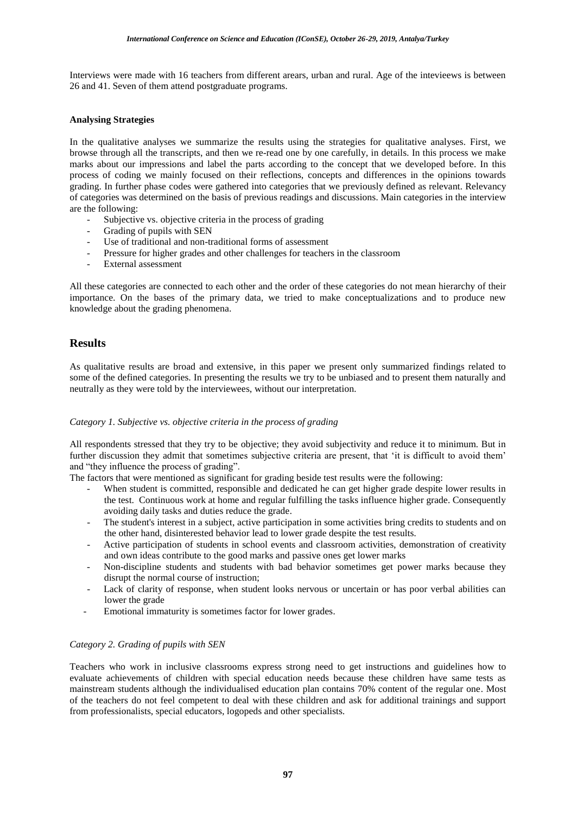Interviews were made with 16 teachers from different arears, urban and rural. Age of the intevieews is between 26 and 41. Seven of them attend postgraduate programs.

#### **Analysing Strategies**

In the qualitative analyses we summarize the results using the strategies for qualitative analyses. First, we browse through all the transcripts, and then we re-read one by one carefully, in details. In this process we make marks about our impressions and label the parts according to the concept that we developed before. In this process of coding we mainly focused on their reflections, concepts and differences in the opinions towards grading. In further phase codes were gathered into categories that we previously defined as relevant. Relevancy of categories was determined on the basis of previous readings and discussions. Main categories in the interview are the following:

- Subjective vs. objective criteria in the process of grading
- Grading of pupils with SEN
- Use of traditional and non-traditional forms of assessment
- Pressure for higher grades and other challenges for teachers in the classroom
- External assessment

All these categories are connected to each other and the order of these categories do not mean hierarchy of their importance. On the bases of the primary data, we tried to make conceptualizations and to produce new knowledge about the grading phenomena.

# **Results**

As qualitative results are broad and extensive, in this paper we present only summarized findings related to some of the defined categories. In presenting the results we try to be unbiased and to present them naturally and neutrally as they were told by the interviewees, without our interpretation.

#### *Category 1. Subjective vs. objective criteria in the process of grading*

All respondents stressed that they try to be objective; they avoid subjectivity and reduce it to minimum. But in further discussion they admit that sometimes subjective criteria are present, that 'it is difficult to avoid them' and "they influence the process of grading".

The factors that were mentioned as significant for grading beside test results were the following:

- When student is committed, responsible and dedicated he can get higher grade despite lower results in the test. Continuous work at home and regular fulfilling the tasks influence higher grade. Consequently avoiding daily tasks and duties reduce the grade.
- The student's interest in a subject, active participation in some activities bring credits to students and on the other hand, disinterested behavior lead to lower grade despite the test results.
- Active participation of students in school events and classroom activities, demonstration of creativity and own ideas contribute to the good marks and passive ones get lower marks
- Non-discipline students and students with bad behavior sometimes get power marks because they disrupt the normal course of instruction;
- Lack of clarity of response, when student looks nervous or uncertain or has poor verbal abilities can lower the grade
- Emotional immaturity is sometimes factor for lower grades.

#### *Category 2. Grading of pupils with SEN*

Teachers who work in inclusive classrooms express strong need to get instructions and guidelines how to evaluate achievements of children with special education needs because these children have same tests as mainstream students although the individualised education plan contains 70% content of the regular one. Most of the teachers do not feel competent to deal with these children and ask for additional trainings and support from professionalists, special educators, logopeds and other specialists.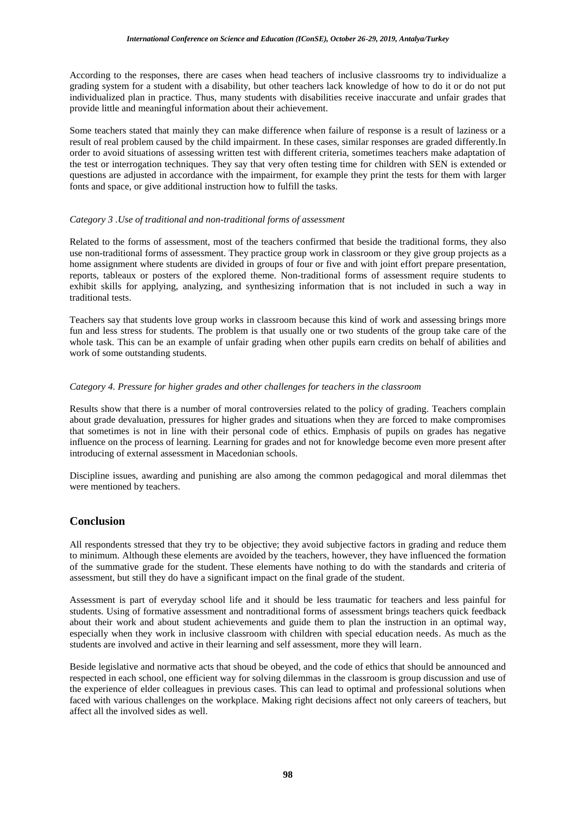According to the responses, there are cases when head teachers of inclusive classrooms try to individualize a grading system for a student with a disability, but other teachers lack knowledge of how to do it or do not put individualized plan in practice. Thus, many students with disabilities receive inaccurate and unfair grades that provide little and meaningful information about their achievement.

Some teachers stated that mainly they can make difference when failure of response is a result of laziness or a result of real problem caused by the child impairment. In these cases, similar responses are graded differently.In order to avoid situations of assessing written test with different criteria, sometimes teachers make adaptation of the test or interrogation techniques. They say that very often testing time for children with SEN is extended or questions are adjusted in accordance with the impairment, for example they print the tests for them with larger fonts and space, or give additional instruction how to fulfill the tasks.

#### *Category 3 .Use of traditional and non-traditional forms of assessment*

Related to the forms of assessment, most of the teachers confirmed that beside the traditional forms, they also use non-traditional forms of assessment. They practice group work in classroom or they give group projects as a home assignment where students are divided in groups of four or five and with joint effort prepare presentation, reports, tableaux or posters of the explored theme. Non-traditional forms of assessment require students to exhibit skills for applying, analyzing, and synthesizing information that is not included in such a way in traditional tests.

Teachers say that students love group works in classroom because this kind of work and assessing brings more fun and less stress for students. The problem is that usually one or two students of the group take care of the whole task. This can be an example of unfair grading when other pupils earn credits on behalf of abilities and work of some outstanding students.

#### *Category 4. Pressure for higher grades and other challenges for teachers in the classroom*

Results show that there is a number of moral controversies related to the policy of grading. Teachers complain about grade devaluation, pressures for higher grades and situations when they are forced to make compromises that sometimes is not in line with their personal code of ethics. Emphasis of pupils on grades has negative influence on the process of learning. Learning for grades and not for knowledge become even more present after introducing of external assessment in Macedonian schools.

Discipline issues, awarding and punishing are also among the common pedagogical and moral dilemmas thet were mentioned by teachers.

# **Conclusion**

All respondents stressed that they try to be objective; they avoid subjective factors in grading and reduce them to minimum. Although these elements are avoided by the teachers, however, they have influenced the formation of the summative grade for the student. These elements have nothing to do with the standards and criteria of assessment, but still they do have a significant impact on the final grade of the student.

Assessment is part of everyday school life and it should be less traumatic for teachers and less painful for students. Using of formative assessment and nontraditional forms of assessment brings teachers quick feedback about their work and about student achievements and guide them to plan the instruction in an optimal way, especially when they work in inclusive classroom with children with special education needs. As much as the students are involved and active in their learning and self assessment, more they will learn.

Beside legislative and normative acts that shoud be obeyed, and the code of ethics that should be announced and respected in each school, one efficient way for solving dilemmas in the classroom is group discussion and use of the experience of elder colleagues in previous cases. This can lead to optimal and professional solutions when faced with various challenges on the workplace. Making right decisions affect not only careers of teachers, but affect all the involved sides as well.